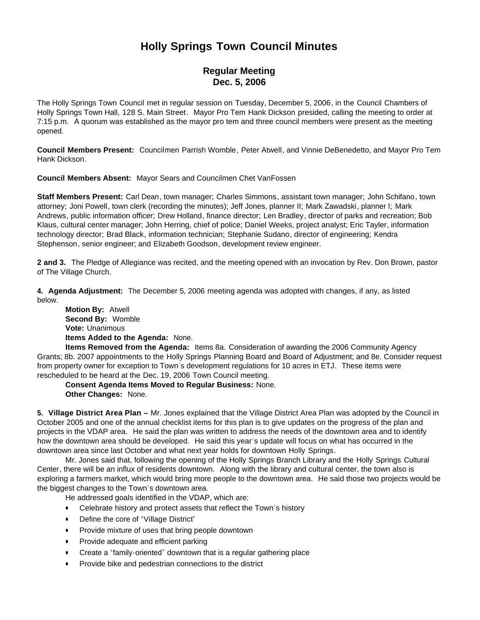## **Holly Springs Town Council Minutes**

## **Regular Meeting Dec. 5, 2006**

The Holly Springs Town Council met in regular session on Tuesday, December 5, 2006, in the Council Chambers of Holly Springs Town Hall, 128 S. Main Street. Mayor Pro Tem Hank Dickson presided, calling the meeting to order at 7:15 p.m. A quorum was established as the mayor pro tem and three council members were present as the meeting opened.

**Council Members Present:** Councilmen Parrish Womble, Peter Atwell, and Vinnie DeBenedetto, and Mayor Pro Tem Hank Dickson.

**Council Members Absent:** Mayor Sears and Councilmen Chet VanFossen

**Staff Members Present:** Carl Dean, town manager; Charles Simmons, assistant town manager; John Schifano, town attorney; Joni Powell, town clerk (recording the minutes); Jeff Jones, planner II; Mark Zawadski, planner I; Mark Andrews, public information officer; Drew Holland, finance director; Len Bradley, director of parks and recreation; Bob Klaus, cultural center manager; John Herring, chief of police; Daniel Weeks, project analyst; Eric Tayler, information technology director; Brad Black, information technician; Stephanie Sudano, director of engineering; Kendra Stephenson, senior engineer; and Elizabeth Goodson, development review engineer.

**2 and 3.** The Pledge of Allegiance was recited, and the meeting opened with an invocation by Rev. Don Brown, pastor of The Village Church.

**4. Agenda Adjustment:** The December 5, 2006 meeting agenda was adopted with changes, if any, as listed below.

 **Motion By:** Atwell **Second By:** Womble **Vote:** Unanimous **Items Added to the Agenda:** None.

 **Items Removed from the Agenda:** Items 8a. Consideration of awarding the 2006 Community Agency Grants; 8b. 2007 appointments to the Holly Springs Planning Board and Board of Adjustment; and 8e. Consider request from property owner for exception to Town's development regulations for 10 acres in ETJ. These items were rescheduled to be heard at the Dec. 19, 2006 Town Council meeting.

 **Consent Agenda Items Moved to Regular Business:** None. **Other Changes:** None.

**5. Village District Area Plan –** Mr. Jones explained that the Village District Area Plan was adopted by the Council in October 2005 and one of the annual checklist items for this plan is to give updates on the progress of the plan and projects in the VDAP area. He said the plan was written to address the needs of the downtown area and to identify how the downtown area should be developed. He said this year's update will focus on what has occurred in the downtown area since last October and what next year holds for downtown Holly Springs.

 Mr. Jones said that, following the opening of the Holly Springs Branch Library and the Holly Springs Cultural Center, there will be an influx of residents downtown. Along with the library and cultural center, the town also is exploring a farmers market, which would bring more people to the downtown area. He said those two projects would be the biggest changes to the Town's downtown area.

He addressed goals identified in the VDAP, which are:

- Celebrate history and protect assets that reflect the Town's history
- Define the core of "Village District"
- Provide mixture of uses that bring people downtown
- Provide adequate and efficient parking
- Create a "family-oriented" downtown that is a regular gathering place
- Provide bike and pedestrian connections to the district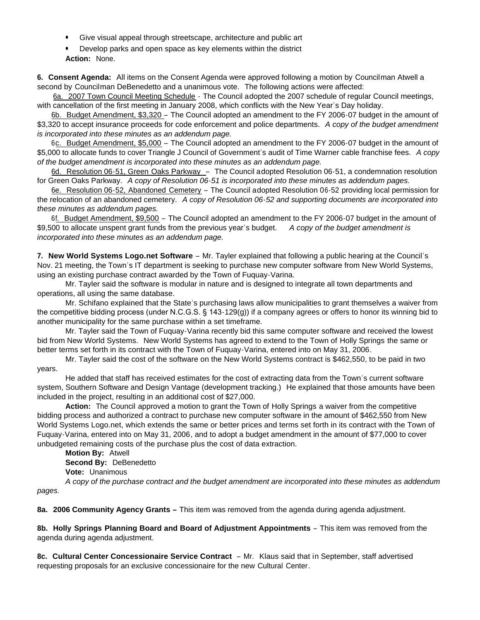- Give visual appeal through streetscape, architecture and public art
- Develop parks and open space as key elements within the district **Action:** None.

**6. Consent Agenda:** All items on the Consent Agenda were approved following a motion by Councilman Atwell a second by Councilman DeBenedetto and a unanimous vote. The following actions were affected:

6a. 2007 Town Council Meeting Schedule - The Council adopted the 2007 schedule of regular Council meetings, with cancellation of the first meeting in January 2008, which conflicts with the New Year's Day holiday.

 6b. Budget Amendment, \$3,320 – The Council adopted an amendment to the FY 2006-07 budget in the amount of \$3,320 to accept insurance proceeds for code enforcement and police departments. *A copy of the budget amendment is incorporated into these minutes as an addendum page.*

 6c. Budget Amendment, \$5,000 – The Council adopted an amendment to the FY 2006-07 budget in the amount of \$5,000 to allocate funds to cover Triangle J Council of Government's audit of Time Warner cable franchise fees. *A copy of the budget amendment is incorporated into these minutes as an addendum page.*

6d. Resolution 06-51, Green Oaks Parkway – The Council adopted Resolution 06-51, a condemnation resolution for Green Oaks Parkway. *A copy of Resolution 06-51 is incorporated into these minutes as addendum pages.*

 6e. Resolution 06-52, Abandoned Cemetery – The Council adopted Resolution 06-52 providing local permission for the relocation of an abandoned cemetery. *A copy of Resolution 06-52 and supporting documents are incorporated into these minutes as addendum pages.*

 6f. Budget Amendment, \$9,500 – The Council adopted an amendment to the FY 2006-07 budget in the amount of \$9,500 to allocate unspent grant funds from the previous year's budget. *A copy of the budget amendment is incorporated into these minutes as an addendum page.*

**7. New World Systems Logo.net Software** – Mr. Tayler explained that following a public hearing at the Council's Nov. 21 meeting, the Town's IT department is seeking to purchase new computer software from New World Systems, using an existing purchase contract awarded by the Town of Fuquay-Varina.

 Mr. Tayler said the software is modular in nature and is designed to integrate all town departments and operations, all using the same database.

 Mr. Schifano explained that the State's purchasing laws allow municipalities to grant themselves a waiver from the competitive bidding process (under N.C.G.S. § 143-129(g)) if a company agrees or offers to honor its winning bid to another municipality for the same purchase within a set timeframe.

Mr. Tayler said the Town of Fuquay-Varina recently bid this same computer software and received the lowest bid from New World Systems. New World Systems has agreed to extend to the Town of Holly Springs the same or better terms set forth in its contract with the Town of Fuquay-Varina, entered into on May 31, 2006.

 Mr. Tayler said the cost of the software on the New World Systems contract is \$462,550, to be paid in two years.

 He added that staff has received estimates for the cost of extracting data from the Town's current software system, Southern Software and Design Vantage (development tracking.) He explained that those amounts have been included in the project, resulting in an additional cost of \$27,000.

 **Action:** The Council approved a motion to grant the Town of Holly Springs a waiver from the competitive bidding process and authorized a contract to purchase new computer software in the amount of \$462,550 from New World Systems Logo.net, which extends the same or better prices and terms set forth in its contract with the Town of Fuquay-Varina, entered into on May 31, 2006, and to adopt a budget amendment in the amount of \$77,000 to cover unbudgeted remaining costs of the purchase plus the cost of data extraction.

 **Motion By:** Atwell **Second By:** DeBenedetto **Vote:** Unanimous *A copy of the purchase contract and the budget amendment are incorporated into these minutes as addendum* 

*pages.*

**8a. 2006 Community Agency Grants –** This item was removed from the agenda during agenda adjustment.

**8b. Holly Springs Planning Board and Board of Adjustment Appointments** – This item was removed from the agenda during agenda adjustment.

**8c. Cultural Center Concessionaire Service Contract** – Mr. Klaus said that in September, staff advertised requesting proposals for an exclusive concessionaire for the new Cultural Center.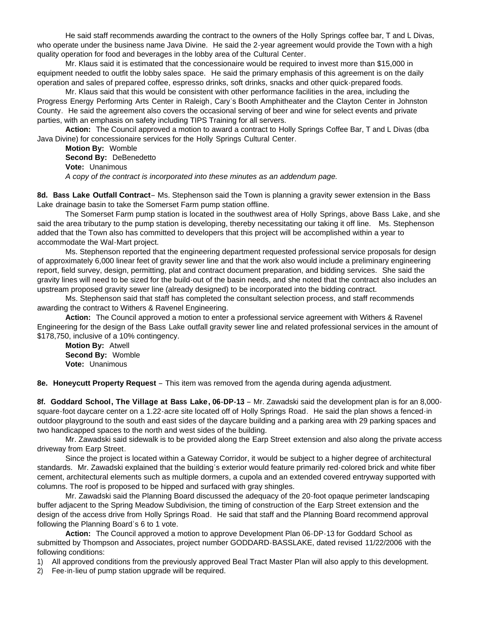He said staff recommends awarding the contract to the owners of the Holly Springs coffee bar, T and L Divas, who operate under the business name Java Divine. He said the 2-year agreement would provide the Town with a high quality operation for food and beverages in the lobby area of the Cultural Center.

 Mr. Klaus said it is estimated that the concessionaire would be required to invest more than \$15,000 in equipment needed to outfit the lobby sales space. He said the primary emphasis of this agreement is on the daily operation and sales of prepared coffee, espresso drinks, soft drinks, snacks and other quick-prepared foods.

 Mr. Klaus said that this would be consistent with other performance facilities in the area, including the Progress Energy Performing Arts Center in Raleigh, Cary's Booth Amphitheater and the Clayton Center in Johnston County. He said the agreement also covers the occasional serving of beer and wine for select events and private parties, with an emphasis on safety including TIPS Training for all servers.

 **Action:** The Council approved a motion to award a contract to Holly Springs Coffee Bar, T and L Divas (dba Java Divine) for concessionaire services for the Holly Springs Cultural Center.

 **Motion By:** Womble **Second By:** DeBenedetto **Vote:** Unanimous *A copy of the contract is incorporated into these minutes as an addendum page.*

**8d. Bass Lake Outfall Contract**– Ms. Stephenson said the Town is planning a gravity sewer extension in the Bass Lake drainage basin to take the Somerset Farm pump station offline.

 The Somerset Farm pump station is located in the southwest area of Holly Springs, above Bass Lake, and she said the area tributary to the pump station is developing, thereby necessitating our taking it off line. Ms. Stephenson added that the Town also has committed to developers that this project will be accomplished within a year to accommodate the Wal-Mart project.

 Ms. Stephenson reported that the engineering department requested professional service proposals for design of approximately 6,000 linear feet of gravity sewer line and that the work also would include a preliminary engineering report, field survey, design, permitting, plat and contract document preparation, and bidding services. She said the gravity lines will need to be sized for the build-out of the basin needs, and she noted that the contract also includes an upstream proposed gravity sewer line (already designed) to be incorporated into the bidding contract.

 Ms. Stephenson said that staff has completed the consultant selection process, and staff recommends awarding the contract to Withers & Ravenel Engineering.

 **Action:** The Council approved a motion to enter a professional service agreement with Withers & Ravenel Engineering for the design of the Bass Lake outfall gravity sewer line and related professional services in the amount of \$178,750, inclusive of a 10% contingency.

 **Motion By:** Atwell **Second By:** Womble **Vote:** Unanimous

**8e. Honeycutt Property Request** – This item was removed from the agenda during agenda adjustment.

**8f. Goddard School, The Village at Bass Lake, 06-DP-13** – Mr. Zawadski said the development plan is for an 8,000 square-foot daycare center on a 1.22-acre site located off of Holly Springs Road. He said the plan shows a fenced-in outdoor playground to the south and east sides of the daycare building and a parking area with 29 parking spaces and two handicapped spaces to the north and west sides of the building.

Mr. Zawadski said sidewalk is to be provided along the Earp Street extension and also along the private access driveway from Earp Street.

 Since the project is located within a Gateway Corridor, it would be subject to a higher degree of architectural standards. Mr. Zawadski explained that the building's exterior would feature primarily red-colored brick and white fiber cement, architectural elements such as multiple dormers, a cupola and an extended covered entryway supported with columns. The roof is proposed to be hipped and surfaced with gray shingles.

 Mr. Zawadski said the Planning Board discussed the adequacy of the 20-foot opaque perimeter landscaping buffer adjacent to the Spring Meadow Subdivision, the timing of construction of the Earp Street extension and the design of the access drive from Holly Springs Road. He said that staff and the Planning Board recommend approval following the Planning Board's 6 to 1 vote.

 **Action:** The Council approved a motion to approve Development Plan 06-DP-13 for Goddard School as submitted by Thompson and Associates, project number GODDARD-BASSLAKE, dated revised 11/22/2006 with the following conditions:

1) All approved conditions from the previously approved Beal Tract Master Plan will also apply to this development.

2) Fee-in-lieu of pump station upgrade will be required.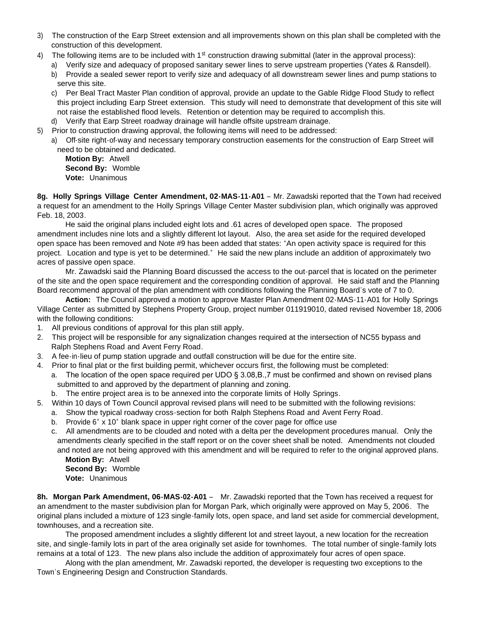- 3) The construction of the Earp Street extension and all improvements shown on this plan shall be completed with the construction of this development.
- The following items are to be included with 1st construction drawing submittal (later in the approval process):
	- a) Verify size and adequacy of proposed sanitary sewer lines to serve upstream properties (Yates & Ransdell).
	- b) Provide a sealed sewer report to verify size and adequacy of all downstream sewer lines and pump stations to serve this site.
	- c) Per Beal Tract Master Plan condition of approval, provide an update to the Gable Ridge Flood Study to reflect this project including Earp Street extension. This study will need to demonstrate that development of this site will not raise the established flood levels. Retention or detention may be required to accomplish this.
	- d) Verify that Earp Street roadway drainage will handle offsite upstream drainage.
- 5) Prior to construction drawing approval, the following items will need to be addressed:
	- a) Off-site right-of-way and necessary temporary construction easements for the construction of Earp Street will need to be obtained and dedicated.

 **Motion By:** Atwell **Second By:** Womble **Vote:** Unanimous

**8g. Holly Springs Village Center Amendment, 02-MAS-11-A01** – Mr. Zawadski reported that the Town had received a request for an amendment to the Holly Springs Village Center Master subdivision plan, which originally was approved Feb. 18, 2003.

 He said the original plans included eight lots and .61 acres of developed open space. The proposed amendment includes nine lots and a slightly different lot layout. Also, the area set aside for the required developed open space has been removed and Note #9 has been added that states: "An open activity space is required for this project. Location and type is yet to be determined." He said the new plans include an addition of approximately two acres of passive open space.

 Mr. Zawadski said the Planning Board discussed the access to the out-parcel that is located on the perimeter of the site and the open space requirement and the corresponding condition of approval. He said staff and the Planning Board recommend approval of the plan amendment with conditions following the Planning Board's vote of 7 to 0.

 **Action:** The Council approved a motion to approve Master Plan Amendment 02-MAS-11-A01 for Holly Springs Village Center as submitted by Stephens Property Group, project number 011919010, dated revised November 18, 2006 with the following conditions:

- 1. All previous conditions of approval for this plan still apply.
- 2. This project will be responsible for any signalization changes required at the intersection of NC55 bypass and Ralph Stephens Road and Avent Ferry Road.
- 3. A fee-in-lieu of pump station upgrade and outfall construction will be due for the entire site.
- 4. Prior to final plat or the first building permit, whichever occurs first, the following must be completed:
	- a. The location of the open space required per UDO § 3.08, B., 7 must be confirmed and shown on revised plans submitted to and approved by the department of planning and zoning.
		- b. The entire project area is to be annexed into the corporate limits of Holly Springs.
- 5. Within 10 days of Town Council approval revised plans will need to be submitted with the following revisions:
	- a. Show the typical roadway cross-section for both Ralph Stephens Road and Avent Ferry Road.
	- b. Provide 6" x 10" blank space in upper right corner of the cover page for office use
	- c. All amendments are to be clouded and noted with a delta per the development procedures manual. Only the amendments clearly specified in the staff report or on the cover sheet shall be noted. Amendments not clouded and noted are not being approved with this amendment and will be required to refer to the original approved plans.

 **Motion By:** Atwell **Second By:** Womble **Vote:** Unanimous

**8h. Morgan Park Amendment, 06-MAS-02-A01** – Mr. Zawadski reported that the Town has received a request for an amendment to the master subdivision plan for Morgan Park, which originally were approved on May 5, 2006. The original plans included a mixture of 123 single-family lots, open space, and land set aside for commercial development, townhouses, and a recreation site.

 The proposed amendment includes a slightly different lot and street layout, a new location for the recreation site, and single-family lots in part of the area originally set aside for townhomes. The total number of single-family lots remains at a total of 123. The new plans also include the addition of approximately four acres of open space.

 Along with the plan amendment, Mr. Zawadski reported, the developer is requesting two exceptions to the Town's Engineering Design and Construction Standards.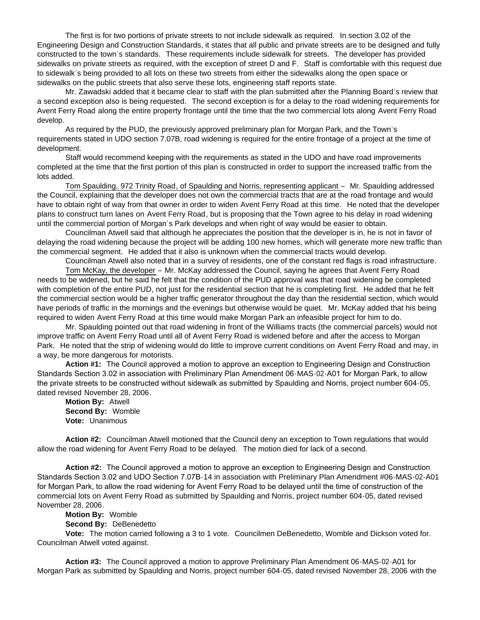The first is for two portions of private streets to not include sidewalk as required. In section 3.02 of the Engineering Design and Construction Standards, it states that all public and private streets are to be designed and fully constructed to the town's standards. These requirements include sidewalk for streets. The developer has provided sidewalks on private streets as required, with the exception of street D and F. Staff is comfortable with this request due to sidewalk's being provided to all lots on these two streets from either the sidewalks along the open space or sidewalks on the public streets that also serve these lots, engineering staff reports state.

 Mr. Zawadski added that it became clear to staff with the plan submitted after the Planning Board's review that a second exception also is being requested. The second exception is for a delay to the road widening requirements for Avent Ferry Road along the entire property frontage until the time that the two commercial lots along Avent Ferry Road develop.

 As required by the PUD, the previously approved preliminary plan for Morgan Park, and the Town's requirements stated in UDO section 7.07B, road widening is required for the entire frontage of a project at the time of development.

 Staff would recommend keeping with the requirements as stated in the UDO and have road improvements completed at the time that the first portion of this plan is constructed in order to support the increased traffic from the lots added.

 Tom Spaulding, 972 Trinity Road, of Spaulding and Norris, representing applicant – Mr. Spaulding addressed the Council, explaining that the developer does not own the commercial tracts that are at the road frontage and would have to obtain right of way from that owner in order to widen Avent Ferry Road at this time. He noted that the developer plans to construct turn lanes on Avent Ferry Road, but is proposing that the Town agree to his delay in road widening until the commercial portion of Morgan's Park develops and when right of way would be easier to obtain.

 Councilman Atwell said that although he appreciates the position that the developer is in, he is not in favor of delaying the road widening because the project will be adding 100 new homes, which will generate more new traffic than the commercial segment. He added that it also is unknown when the commercial tracts would develop.

Councilman Atwell also noted that in a survey of residents, one of the constant red flags is road infrastructure.

 Tom McKay, the developer – Mr. McKay addressed the Council, saying he agrees that Avent Ferry Road needs to be widened, but he said he felt that the condition of the PUD approval was that road widening be completed with completion of the entire PUD, not just for the residential section that he is completing first. He added that he felt the commercial section would be a higher traffic generator throughout the day than the residential section, which would have periods of traffic in the mornings and the evenings but otherwise would be quiet. Mr. McKay added that his being required to widen Avent Ferry Road at this time would make Morgan Park an infeasible project for him to do.

 Mr. Spaulding pointed out that road widening in front of the Williams tracts (the commercial parcels) would not improve traffic on Avent Ferry Road until all of Avent Ferry Road is widened before and after the access to Morgan Park. He noted that the strip of widening would do little to improve current conditions on Avent Ferry Road and may, in a way, be more dangerous for motorists.

**Action #1:** The Council approved a motion to approve an exception to Engineering Design and Construction Standards Section 3.02 in association with Preliminary Plan Amendment 06-MAS-02-A01 for Morgan Park, to allow the private streets to be constructed without sidewalk as submitted by Spaulding and Norris, project number 604-05, dated revised November 28, 2006.

**Motion By:** Atwell **Second By:** Womble **Vote:** Unanimous

 **Action #2:** Councilman Atwell motioned that the Council deny an exception to Town regulations that would allow the road widening for Avent Ferry Road to be delayed. The motion died for lack of a second.

**Action #2:** The Council approved a motion to approve an exception to Engineering Design and Construction Standards Section 3.02 and UDO Section 7.07B-14 in association with Preliminary Plan Amendment #06-MAS-02-A01 for Morgan Park, to allow the road widening for Avent Ferry Road to be delayed until the time of construction of the commercial lots on Avent Ferry Road as submitted by Spaulding and Norris, project number 604-05, dated revised November 28, 2006.

**Motion By:** Womble

**Second By:** DeBenedetto

 **Vote:** The motion carried following a 3 to 1 vote. Councilmen DeBenedetto, Womble and Dickson voted for. Councilman Atwell voted against.

 **Action #3:** The Council approved a motion to approve Preliminary Plan Amendment 06-MAS-02-A01 for Morgan Park as submitted by Spaulding and Norris, project number 604-05, dated revised November 28, 2006 with the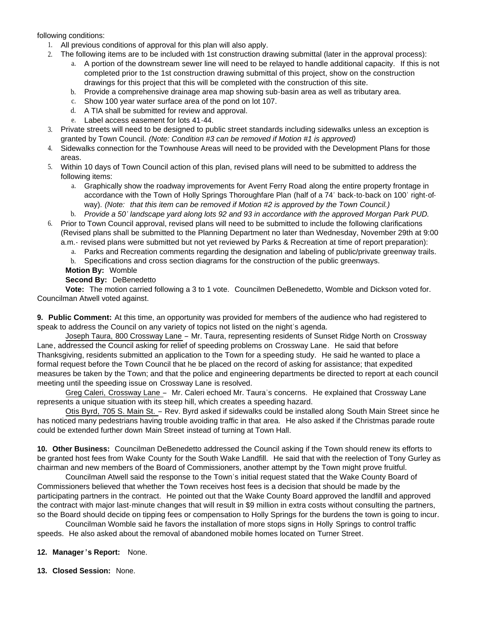following conditions:

- 1. All previous conditions of approval for this plan will also apply.
- 2. The following items are to be included with 1st construction drawing submittal (later in the approval process):
	- a. A portion of the downstream sewer line will need to be relayed to handle additional capacity. If this is not completed prior to the 1st construction drawing submittal of this project, show on the construction drawings for this project that this will be completed with the construction of this site.
	- b. Provide a comprehensive drainage area map showing sub-basin area as well as tributary area.
	- c. Show 100 year water surface area of the pond on lot 107.
	- d. A TIA shall be submitted for review and approval.
	- e. Label access easement for lots 41-44.
- 3. Private streets will need to be designed to public street standards including sidewalks unless an exception is granted by Town Council. *(Note: Condition #3 can be removed if Motion #1 is approved)*
- 4. Sidewalks connection for the Townhouse Areas will need to be provided with the Development Plans for those areas.
- 5. Within 10 days of Town Council action of this plan, revised plans will need to be submitted to address the following items:
	- a. Graphically show the roadway improvements for Avent Ferry Road along the entire property frontage in accordance with the Town of Holly Springs Thoroughfare Plan (half of a 74' back-to-back on 100' right-ofway). *(Note: that this item can be removed if Motion #2 is approved by the Town Council.)*
	- b. *Provide a 50' landscape yard along lots 92 and 93 in accordance with the approved Morgan Park PUD.*
- 6. Prior to Town Council approval, revised plans will need to be submitted to include the following clarifications (Revised plans shall be submitted to the Planning Department no later than Wednesday, November 29th at 9:00 a.m.- revised plans were submitted but not yet reviewed by Parks & Recreation at time of report preparation):
	- a. Parks and Recreation comments regarding the designation and labeling of public/private greenway trails.
	- b. Specifications and cross section diagrams for the construction of the public greenways.
	- **Motion By:** Womble

## **Second By:** DeBenedetto

 **Vote:** The motion carried following a 3 to 1 vote. Councilmen DeBenedetto, Womble and Dickson voted for. Councilman Atwell voted against.

**9. Public Comment:** At this time, an opportunity was provided for members of the audience who had registered to speak to address the Council on any variety of topics not listed on the night's agenda.

Joseph Taura, 800 Crossway Lane – Mr. Taura, representing residents of Sunset Ridge North on Crossway Lane, addressed the Council asking for relief of speeding problems on Crossway Lane. He said that before Thanksgiving, residents submitted an application to the Town for a speeding study. He said he wanted to place a formal request before the Town Council that he be placed on the record of asking for assistance; that expedited measures be taken by the Town; and that the police and engineering departments be directed to report at each council meeting until the speeding issue on Crossway Lane is resolved.

Greg Caleri, Crossway Lane – Mr. Caleri echoed Mr. Taura's concerns. He explained that Crossway Lane represents a unique situation with its steep hill, which creates a speeding hazard.

 Otis Byrd, 705 S. Main St. – Rev. Byrd asked if sidewalks could be installed along South Main Street since he has noticed many pedestrians having trouble avoiding traffic in that area. He also asked if the Christmas parade route could be extended further down Main Street instead of turning at Town Hall.

**10. Other Business:** Councilman DeBenedetto addressed the Council asking if the Town should renew its efforts to be granted host fees from Wake County for the South Wake Landfill. He said that with the reelection of Tony Gurley as chairman and new members of the Board of Commissioners, another attempt by the Town might prove fruitful.

 Councilman Atwell said the response to the Town's initial request stated that the Wake County Board of Commissioners believed that whether the Town receives host fees is a decision that should be made by the participating partners in the contract. He pointed out that the Wake County Board approved the landfill and approved the contract with major last-minute changes that will result in \$9 million in extra costs without consulting the partners, so the Board should decide on tipping fees or compensation to Holly Springs for the burdens the town is going to incur.

 Councilman Womble said he favors the installation of more stops signs in Holly Springs to control traffic speeds. He also asked about the removal of abandoned mobile homes located on Turner Street.

- **12. Manager 's Report:** None.
- **13. Closed Session:** None.